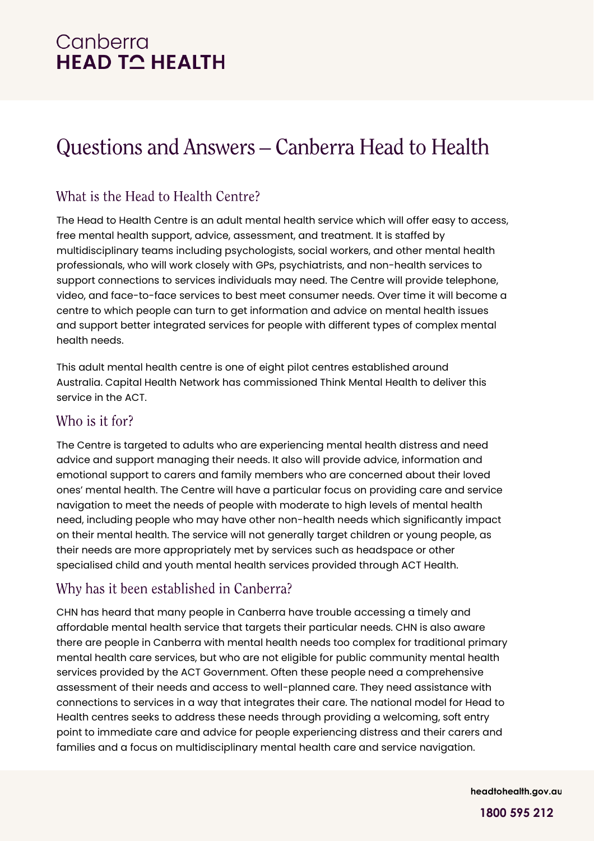# Canberra **HEAD TO HEALTH**

# Questions and Answers - Canberra Head to Health

## What is the Head to Health Centre?

The Head to Health Centre is an adult mental health service which will offer easy to access, free mental health support, advice, assessment, and treatment. It is staffed by multidisciplinary teams including psychologists, social workers, and other mental health professionals, who will work closely with GPs, psychiatrists, and non-health services to support connections to services individuals may need. The Centre will provide telephone, video, and face-to-face services to best meet consumer needs. Over time it will become a centre to which people can turn to get information and advice on mental health issues and support better integrated services for people with different types of complex mental health needs.

This adult mental health centre is one of eight pilot centres established around Australia. Capital Health Network has commissioned Think Mental Health to deliver this service in the ACT.

#### Who is it for?

The Centre is targeted to adults who are experiencing mental health distress and need advice and support managing their needs. It also will provide advice, information and emotional support to carers and family members who are concerned about their loved ones' mental health. The Centre will have a particular focus on providing care and service navigation to meet the needs of people with moderate to high levels of mental health need, including people who may have other non-health needs which significantly impact on their mental health. The service will not generally target children or young people, as their needs are more appropriately met by services such as headspace or other specialised child and youth mental health services provided through ACT Health.

## Why has it been established in Canberra?

CHN has heard that many people in Canberra have trouble accessing a timely and affordable mental health service that targets their particular needs. CHN is also aware there are people in Canberra with mental health needs too complex for traditional primary mental health care services, but who are not eligible for public community mental health services provided by the ACT Government. Often these people need a comprehensive assessment of their needs and access to well-planned care. They need assistance with connections to services in a way that integrates their care. The national model for Head to Health centres seeks to address these needs through providing a welcoming, soft entry point to immediate care and advice for people experiencing distress and their carers and families and a focus on multidisciplinary mental health care and service navigation.

**headtohealth.gov.au**

**1800 595 212**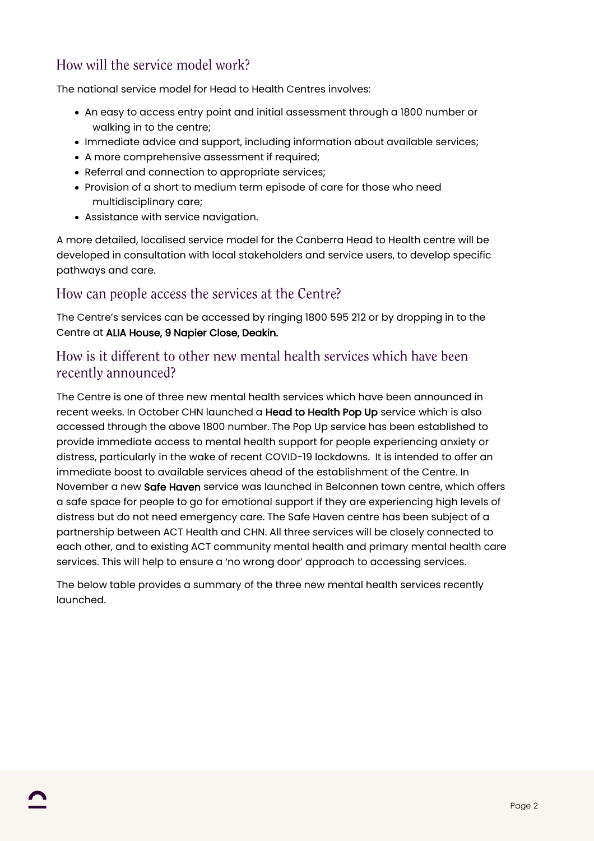## How will the service model work?

The national service model for Head to Health Centres involves:

- An easy to access entry point and initial assessment through a 1800 number or walking in to the centre;
- Immediate advice and support, including information about available services;
- A more comprehensive assessment if required;
- Referral and connection to appropriate services;
- Provision of a short to medium term episode of care for those who need multidisciplinary care;
- Assistance with service navigation.

A more detailed, localised service model for the Canberra Head to Health centre will be developed in consultation with local stakeholders and service users, to develop specific pathways and care.

#### How can people access the services at the Centre?

The Centre's services can be accessed by ringing 1800 595 212 or by dropping in to the Centre at ALIA House, 9 Napier Close, Deakin.

#### How is it different to other new mental health services which have been recently announced?

The Centre is one of three new mental health services which have been announced in recent weeks. In October CHN launched a Head to Health Pop Up service which is also accessed through the above 1800 number. The Pop Up service has been established to provide immediate access to mental health support for people experiencing anxiety or distress, particularly in the wake of recent COVID-19 lockdowns. It is intended to offer an immediate boost to available services ahead of the establishment of the Centre. In November a new Safe Haven service was launched in Belconnen town centre, which offers a safe space for people to go for emotional support if they are experiencing high levels of distress but do not need emergency care. The Safe Haven centre has been subject of a partnership between ACT Health and CHN. All three services will be closely connected to each other, and to existing ACT community mental health and primary mental health care services. This will help to ensure a 'no wrong door' approach to accessing services.

The below table provides a summary of the three new mental health services recently launched.